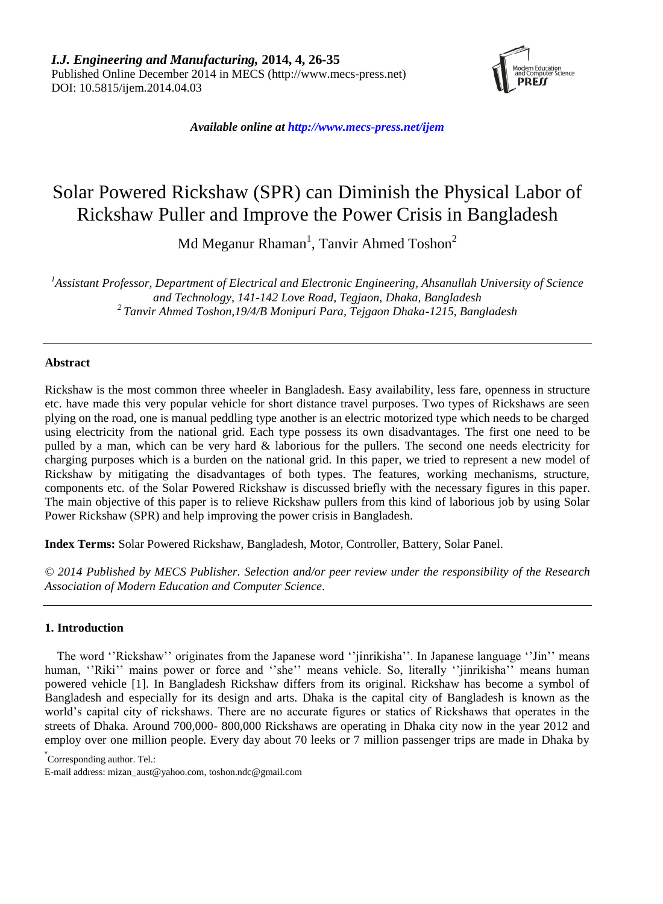

*Available online at http://www.mecs-press.net/ijem*

# Solar Powered Rickshaw (SPR) can Diminish the Physical Labor of Rickshaw Puller and Improve the Power Crisis in Bangladesh

Md Meganur Rhaman $^1$ , Tanvir Ahmed Toshon $^2$ 

*<sup>1</sup>Assistant Professor, Department of Electrical and Electronic Engineering, Ahsanullah University of Science and Technology, 141-142 Love Road, Tegjaon, Dhaka, Bangladesh <sup>2</sup>Tanvir Ahmed Toshon,19/4/B Monipuri Para, Tejgaon Dhaka-1215, Bangladesh*

# **Abstract**

Rickshaw is the most common three wheeler in Bangladesh. Easy availability, less fare, openness in structure etc. have made this very popular vehicle for short distance travel purposes. Two types of Rickshaws are seen plying on the road, one is manual peddling type another is an electric motorized type which needs to be charged using electricity from the national grid. Each type possess its own disadvantages. The first one need to be pulled by a man, which can be very hard & laborious for the pullers. The second one needs electricity for charging purposes which is a burden on the national grid. In this paper, we tried to represent a new model of Rickshaw by mitigating the disadvantages of both types. The features, working mechanisms, structure, components etc. of the Solar Powered Rickshaw is discussed briefly with the necessary figures in this paper. The main objective of this paper is to relieve Rickshaw pullers from this kind of laborious job by using Solar Power Rickshaw (SPR) and help improving the power crisis in Bangladesh.

**Index Terms:** Solar Powered Rickshaw, Bangladesh, Motor, Controller, Battery, Solar Panel.

*© 2014 Published by MECS Publisher. Selection and/or peer review under the responsibility of the Research Association of Modern Education and Computer Science.*

# **1. Introduction**

The word "Rickshaw" originates from the Japanese word "jinrikisha". In Japanese language "Jin" means human, "Riki" mains power or force and "she" means vehicle. So, literally "jinrikisha" means human powered vehicle [1]. In Bangladesh Rickshaw differs from its original. Rickshaw has become a symbol of Bangladesh and especially for its design and arts. Dhaka is the capital city of Bangladesh is known as the world"s capital city of rickshaws. There are no accurate figures or statics of Rickshaws that operates in the streets of Dhaka. Around 700,000- 800,000 Rickshaws are operating in Dhaka city now in the year 2012 and employ over one million people. Every day about 70 leeks or 7 million passenger trips are made in Dhaka by

\* Corresponding author. Tel.:

E-mail address: [mizan\\_aust@yahoo.com,](mailto:mizan_aust@yahoo.com) [toshon.](mailto:toshon_aust@yahoo.com)ndc@gmail.com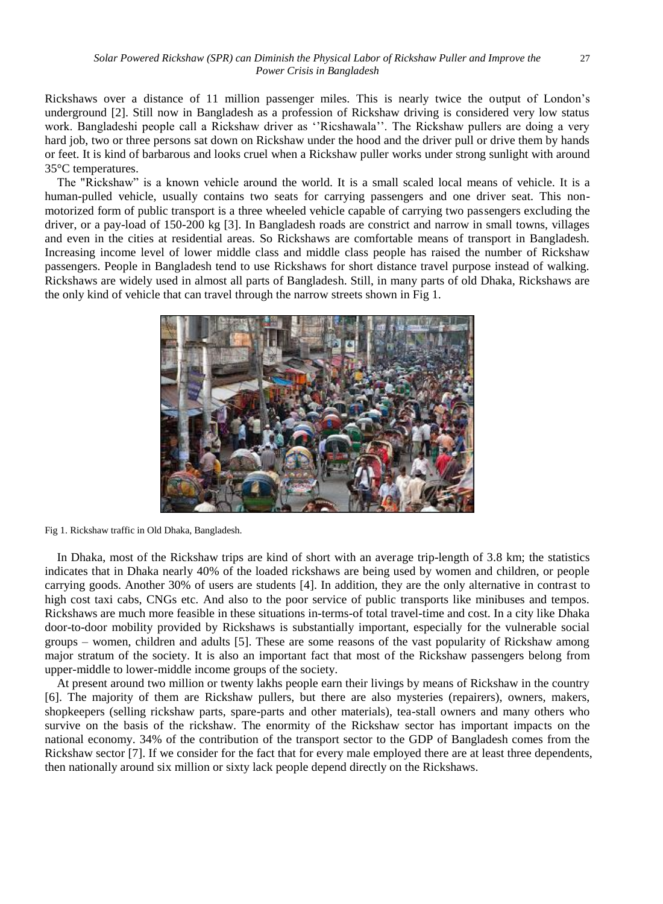Rickshaws over a distance of 11 million passenger miles. This is nearly twice the output of London"s underground [2]. Still now in Bangladesh as a profession of Rickshaw driving is considered very low status work. Bangladeshi people call a Rickshaw driver as "Ricshawala". The Rickshaw pullers are doing a very hard job, two or three persons sat down on Rickshaw under the hood and the driver pull or drive them by hands or feet. It is kind of barbarous and looks cruel when a Rickshaw puller works under strong sunlight with around 35°C temperatures.

The "Rickshaw" is a known vehicle around the world. It is a small scaled local means of vehicle. It is a human-pulled vehicle, usually contains two seats for carrying passengers and one driver seat. This nonmotorized form of public transport is a three wheeled vehicle capable of carrying two passengers excluding the driver, or a pay-load of 150-200 kg [3]. In Bangladesh roads are constrict and narrow in small towns, villages and even in the cities at residential areas. So Rickshaws are comfortable means of transport in Bangladesh. Increasing income level of lower middle class and middle class people has raised the number of Rickshaw passengers. People in Bangladesh tend to use Rickshaws for short distance travel purpose instead of walking. Rickshaws are widely used in almost all parts of Bangladesh. Still, in many parts of old Dhaka, Rickshaws are the only kind of vehicle that can travel through the narrow streets shown in Fig 1.





In Dhaka, most of the Rickshaw trips are kind of short with an average trip-length of 3.8 km; the statistics indicates that in Dhaka nearly 40% of the loaded rickshaws are being used by women and children, or people carrying goods. Another 30% of users are students [4]. In addition, they are the only alternative in contrast to high cost taxi cabs, CNGs etc. And also to the poor service of public transports like minibuses and tempos. Rickshaws are much more feasible in these situations in-terms-of total travel-time and cost. In a city like Dhaka door-to-door mobility provided by Rickshaws is substantially important, especially for the vulnerable social groups – women, children and adults [5]. These are some reasons of the vast popularity of Rickshaw among major stratum of the society. It is also an important fact that most of the Rickshaw passengers belong from upper-middle to lower-middle income groups of the society.

At present around two million or twenty lakhs people earn their livings by means of Rickshaw in the country [6]. The majority of them are Rickshaw pullers, but there are also mysteries (repairers), owners, makers, shopkeepers (selling rickshaw parts, spare-parts and other materials), tea-stall owners and many others who survive on the basis of the rickshaw. The enormity of the Rickshaw sector has important impacts on the national economy. 34% of the contribution of the transport sector to the GDP of Bangladesh comes from the Rickshaw sector [7]. If we consider for the fact that for every male employed there are at least three dependents, then nationally around six million or sixty lack people depend directly on the Rickshaws.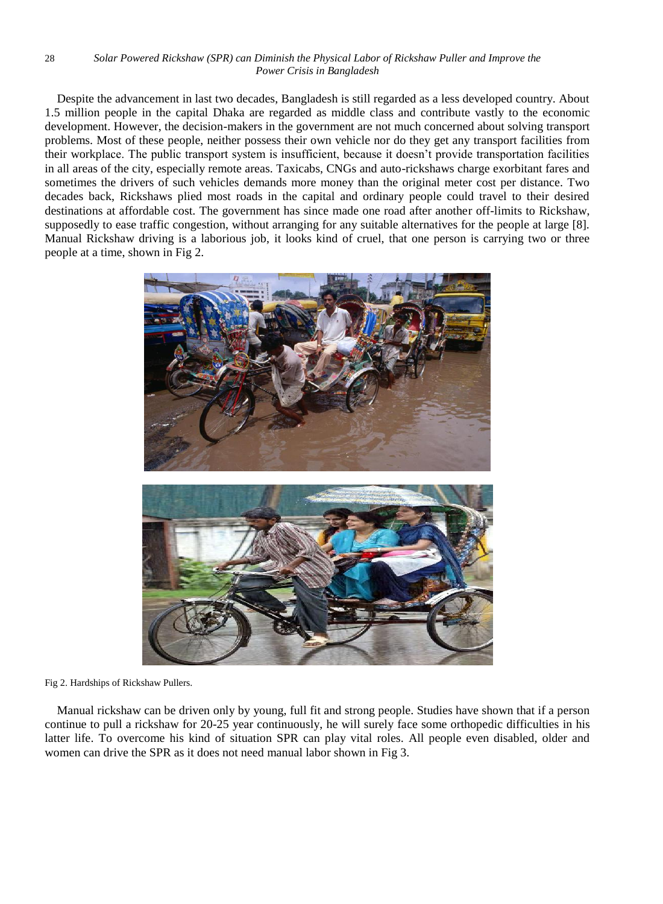#### 28 *Solar Powered Rickshaw (SPR) can Diminish the Physical Labor of Rickshaw Puller and Improve the Power Crisis in Bangladesh*

Despite the advancement in last two decades, Bangladesh is still regarded as a less developed country. About 1.5 million people in the capital Dhaka are regarded as middle class and contribute vastly to the economic development. However, the decision-makers in the government are not much concerned about solving transport problems. Most of these people, neither possess their own vehicle nor do they get any transport facilities from their workplace. The public transport system is insufficient, because it doesn"t provide transportation facilities in all areas of the city, especially remote areas. Taxicabs, CNGs and auto-rickshaws charge exorbitant fares and sometimes the drivers of such vehicles demands more money than the original meter cost per distance. Two decades back, Rickshaws plied most roads in the capital and ordinary people could travel to their desired destinations at affordable cost. The government has since made one road after another off-limits to Rickshaw, supposedly to ease traffic congestion, without arranging for any suitable alternatives for the people at large [8]. Manual Rickshaw driving is a laborious job, it looks kind of cruel, that one person is carrying two or three people at a time, shown in Fig 2.



Fig 2. Hardships of Rickshaw Pullers.

Manual rickshaw can be driven only by young, full fit and strong people. Studies have shown that if a person continue to pull a rickshaw for 20-25 year continuously, he will surely face some orthopedic difficulties in his latter life. To overcome his kind of situation SPR can play vital roles. All people even disabled, older and women can drive the SPR as it does not need manual labor shown in Fig 3.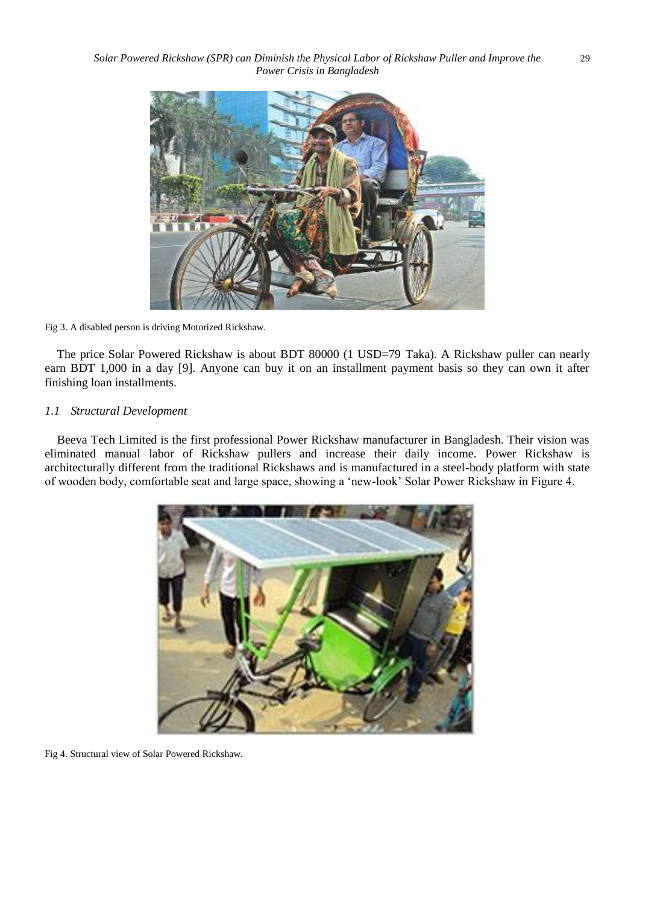

#### Fig 3. A disabled person is driving Motorized Rickshaw.

The price Solar Powered Rickshaw is about BDT 80000 (1 USD=79 Taka). A Rickshaw puller can nearly earn BDT 1,000 in a day [9]. Anyone can buy it on an installment payment basis so they can own it after finishing loan installments.

### *1.1 Structural Development*

Beeva Tech Limited is the first professional Power Rickshaw manufacturer in Bangladesh. Their vision was eliminated manual labor of Rickshaw pullers and increase their daily income. Power Rickshaw is architecturally different from the traditional Rickshaws and is manufactured in a steel-body platform with state of wooden body, comfortable seat and large space, showing a "new-look" Solar Power Rickshaw in Figure 4.



Fig 4. Structural view of Solar Powered Rickshaw.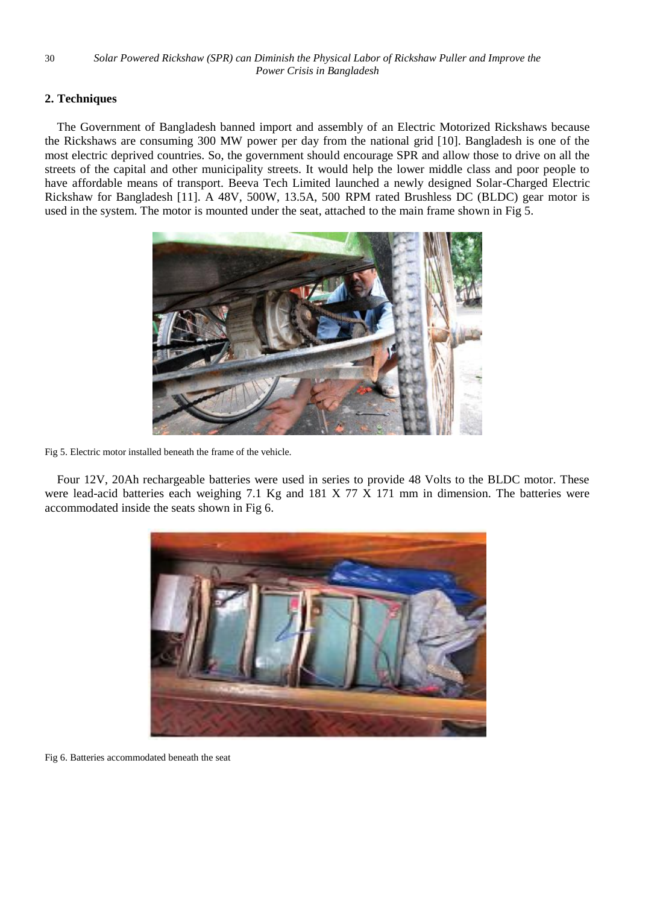# **2. Techniques**

The Government of Bangladesh banned import and assembly of an Electric Motorized Rickshaws because the Rickshaws are consuming 300 MW power per day from the national grid [10]. Bangladesh is one of the most electric deprived countries. So, the government should encourage SPR and allow those to drive on all the streets of the capital and other municipality streets. It would help the lower middle class and poor people to have affordable means of transport. Beeva Tech Limited launched a newly designed Solar-Charged Electric Rickshaw for Bangladesh [11]. A 48V, 500W, 13.5A, 500 RPM rated Brushless DC (BLDC) gear motor is used in the system. The motor is mounted under the seat, attached to the main frame shown in Fig 5.



Fig 5. Electric motor installed beneath the frame of the vehicle.

Four 12V, 20Ah rechargeable batteries were used in series to provide 48 Volts to the BLDC motor. These were lead-acid batteries each weighing 7.1 Kg and 181 X 77 X 171 mm in dimension. The batteries were accommodated inside the seats shown in Fig 6.



Fig 6. Batteries accommodated beneath the seat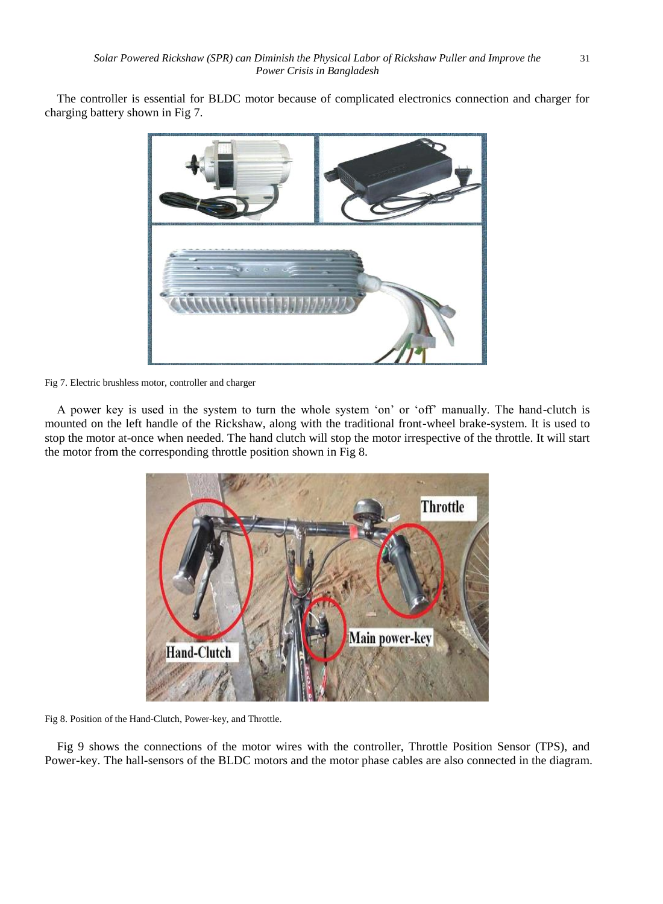The controller is essential for BLDC motor because of complicated electronics connection and charger for charging battery shown in Fig 7.



Fig 7. Electric brushless motor, controller and charger

A power key is used in the system to turn the whole system "on" or "off" manually. The hand-clutch is mounted on the left handle of the Rickshaw, along with the traditional front-wheel brake-system. It is used to stop the motor at-once when needed. The hand clutch will stop the motor irrespective of the throttle. It will start the motor from the corresponding throttle position shown in Fig 8.



Fig 8. Position of the Hand-Clutch, Power-key, and Throttle.

Fig 9 shows the connections of the motor wires with the controller, Throttle Position Sensor (TPS), and Power-key. The hall-sensors of the BLDC motors and the motor phase cables are also connected in the diagram.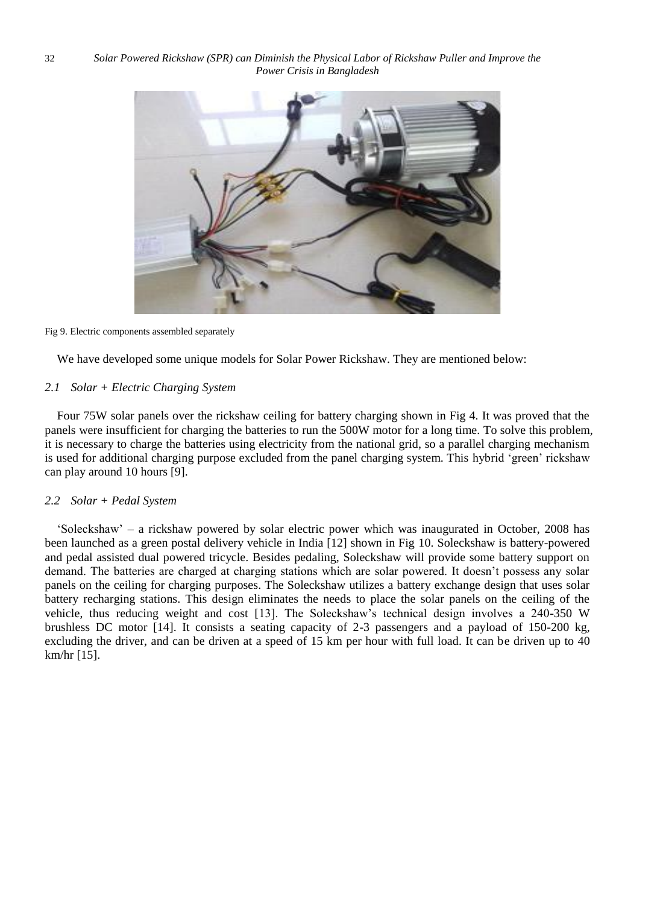

Fig 9. Electric components assembled separately

We have developed some unique models for Solar Power Rickshaw. They are mentioned below:

# *2.1 Solar + Electric Charging System*

Four 75W solar panels over the rickshaw ceiling for battery charging shown in Fig 4. It was proved that the panels were insufficient for charging the batteries to run the 500W motor for a long time. To solve this problem, it is necessary to charge the batteries using electricity from the national grid, so a parallel charging mechanism is used for additional charging purpose excluded from the panel charging system. This hybrid "green" rickshaw can play around 10 hours [9].

# *2.2 Solar + Pedal System*

"Soleckshaw" – a rickshaw powered by solar electric power which was inaugurated in October, 2008 has been launched as a green postal delivery vehicle in India [12] shown in Fig 10. Soleckshaw is battery-powered and pedal assisted dual powered tricycle. Besides pedaling, Soleckshaw will provide some battery support on demand. The batteries are charged at charging stations which are solar powered. It doesn't possess any solar panels on the ceiling for charging purposes. The Soleckshaw utilizes a battery exchange design that uses solar battery recharging stations. This design eliminates the needs to place the solar panels on the ceiling of the vehicle, thus reducing weight and cost [13]. The Soleckshaw"s technical design involves a 240-350 W brushless DC motor [14]. It consists a seating capacity of 2-3 passengers and a payload of 150-200 kg, excluding the driver, and can be driven at a speed of 15 km per hour with full load. It can be driven up to 40 km/hr [15].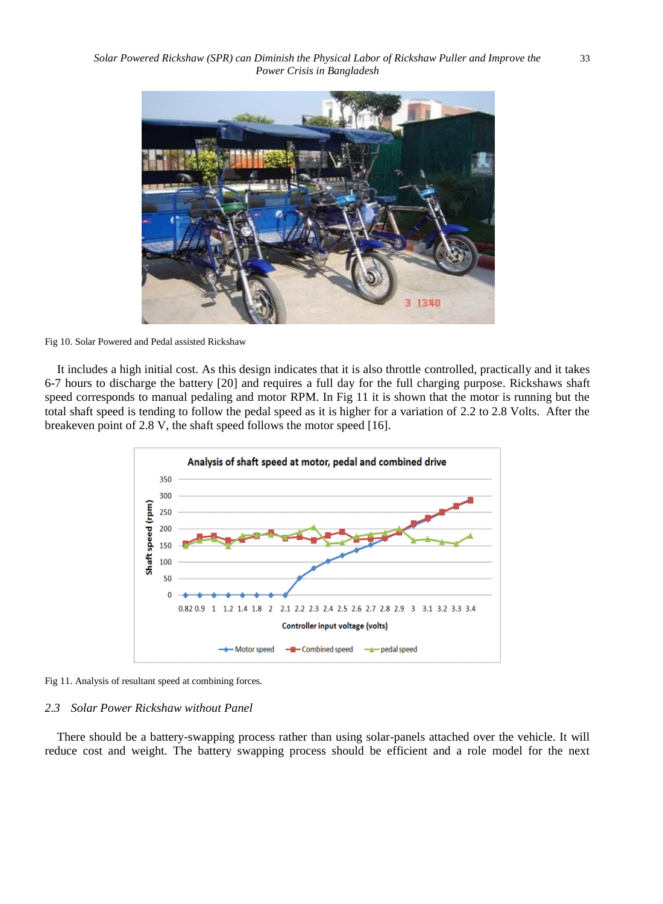

Fig 10. Solar Powered and Pedal assisted Rickshaw

It includes a high initial cost. As this design indicates that it is also throttle controlled, practically and it takes 6-7 hours to discharge the battery [20] and requires a full day for the full charging purpose. Rickshaws shaft speed corresponds to manual pedaling and motor RPM. In Fig 11 it is shown that the motor is running but the total shaft speed is tending to follow the pedal speed as it is higher for a variation of 2.2 to 2.8 Volts. After the breakeven point of 2.8 V, the shaft speed follows the motor speed [16].



Fig 11. Analysis of resultant speed at combining forces.

#### *2.3 Solar Power Rickshaw without Panel*

There should be a battery-swapping process rather than using solar-panels attached over the vehicle. It will reduce cost and weight. The battery swapping process should be efficient and a role model for the next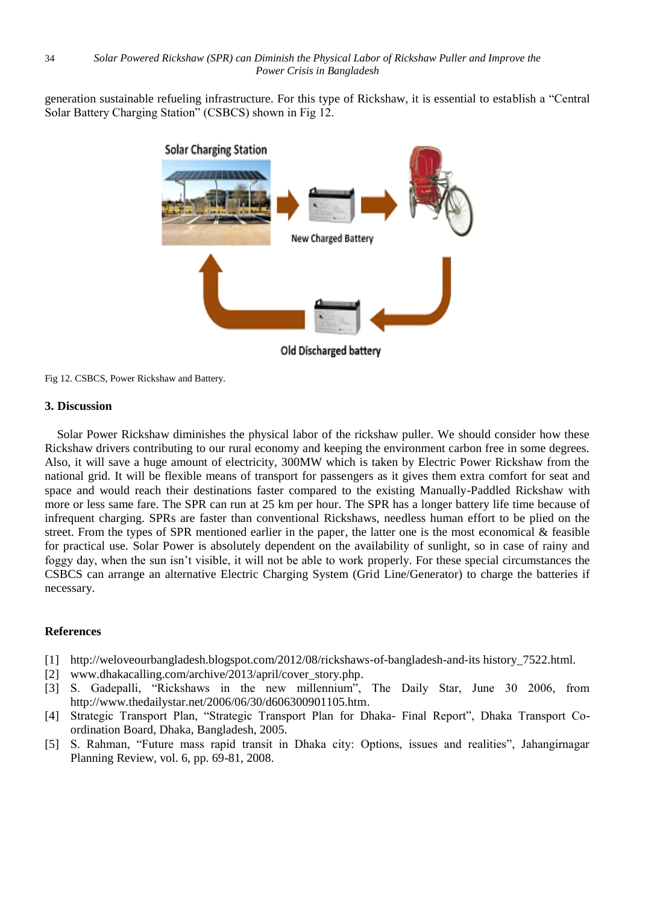generation sustainable refueling infrastructure. For this type of Rickshaw, it is essential to establish a "Central Solar Battery Charging Station" (CSBCS) shown in Fig 12.



Old Discharged battery

Fig 12. CSBCS, Power Rickshaw and Battery.

# **3. Discussion**

Solar Power Rickshaw diminishes the physical labor of the rickshaw puller. We should consider how these Rickshaw drivers contributing to our rural economy and keeping the environment carbon free in some degrees. Also, it will save a huge amount of electricity, 300MW which is taken by Electric Power Rickshaw from the national grid. It will be flexible means of transport for passengers as it gives them extra comfort for seat and space and would reach their destinations faster compared to the existing Manually-Paddled Rickshaw with more or less same fare. The SPR can run at 25 km per hour. The SPR has a longer battery life time because of infrequent charging. SPRs are faster than conventional Rickshaws, needless human effort to be plied on the street. From the types of SPR mentioned earlier in the paper, the latter one is the most economical & feasible for practical use. Solar Power is absolutely dependent on the availability of sunlight, so in case of rainy and foggy day, when the sun isn"t visible, it will not be able to work properly. For these special circumstances the CSBCS can arrange an alternative Electric Charging System (Grid Line/Generator) to charge the batteries if necessary.

# **References**

- [1] <http://weloveourbangladesh.blogspot.com/2012/08/rickshaws-of-bangladesh-and-its> history\_7522.html.
- [2] www.dhakacalling.com/archive/2013/april/cover\_story.php.
- [3] S. Gadepalli, "Rickshaws in the new millennium", The Daily Star, June 30 2006, from http://www.thedailystar.net/2006/06/30/d606300901105.htm.
- [4] Strategic Transport Plan, "Strategic Transport Plan for Dhaka- Final Report", Dhaka Transport Coordination Board, Dhaka, Bangladesh, 2005.
- [5] S. Rahman, "Future mass rapid transit in Dhaka city: Options, issues and realities", Jahangirnagar Planning Review, vol. 6, pp. 69-81, 2008.